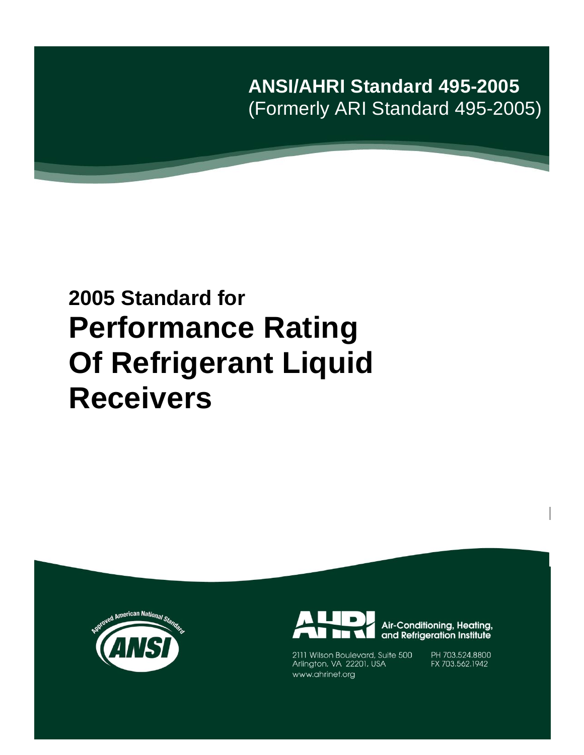**ANSI/AHRI Standard 495-2005** (Formerly ARI Standard 495-2005)

# **2005 Standard for Performance Rating Of Refrigerant Liquid Receivers**





Air-Conditioning, Heating, and Refrigeration Institute

2111 Wilson Boulevard, Suite 500<br>Arlington, VA 22201, USA www.ahrinet.org

PH 703.524.8800 FX 703.562.1942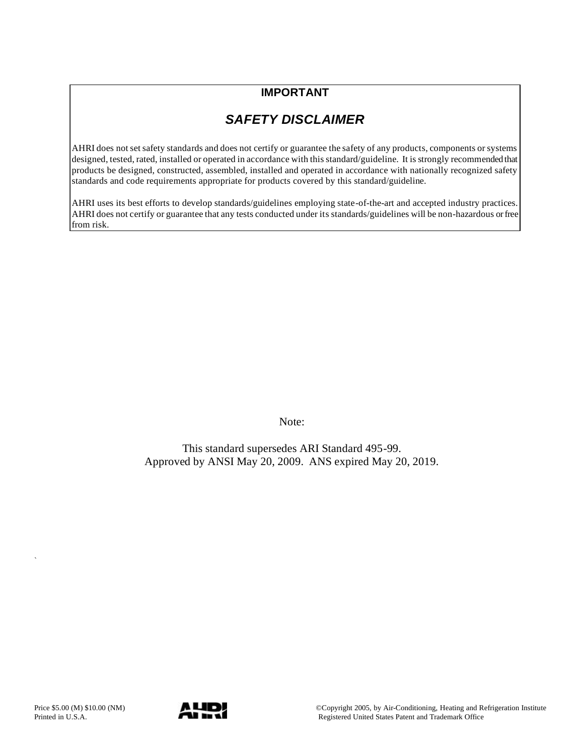## **IMPORTANT**

## *SAFETY DISCLAIMER*

AHRI does not set safety standards and does not certify or guarantee the safety of any products, components or systems designed, tested, rated, installed or operated in accordance with this standard/guideline. It is strongly recommended that products be designed, constructed, assembled, installed and operated in accordance with nationally recognized safety standards and code requirements appropriate for products covered by this standard/guideline.

AHRI uses its best efforts to develop standards/guidelines employing state-of-the-art and accepted industry practices. AHRI does not certify or guarantee that any tests conducted under its standards/guidelines will be non-hazardous or free from risk.

Note:

This standard supersedes ARI Standard 495-99. Approved by ANSI May 20, 2009. ANS expired May 20, 2019.

`

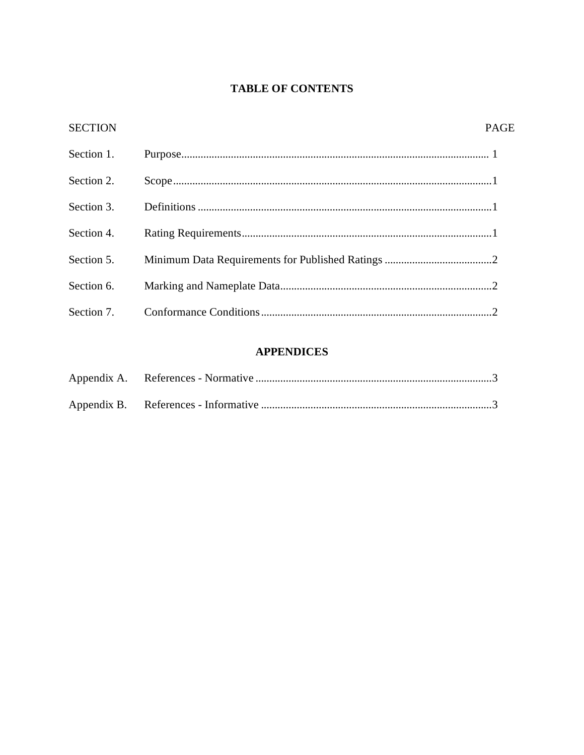## **TABLE OF CONTENTS**

| <b>SECTION</b> | <b>PAGE</b> |
|----------------|-------------|
| Section 1.     |             |
| Section 2.     |             |
| Section 3.     |             |
| Section 4.     |             |
| Section 5.     |             |
| Section 6.     |             |
| Section 7.     |             |

## **APPENDICES**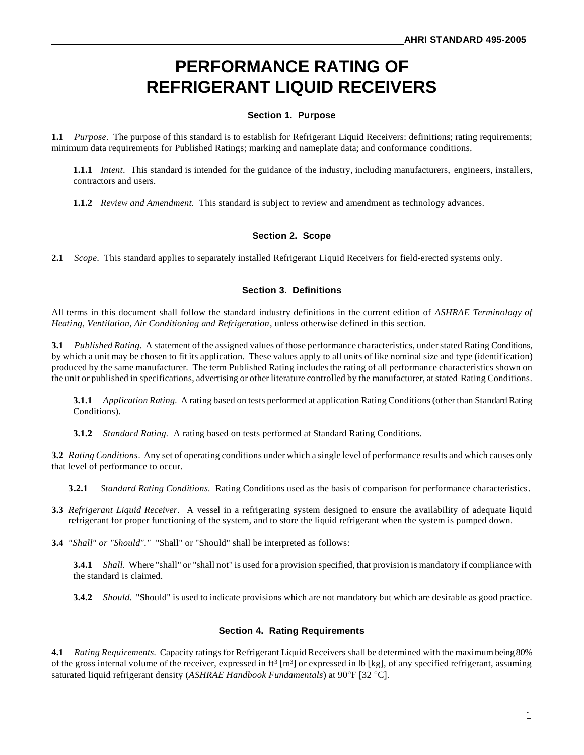# **PERFORMANCE RATING OF REFRIGERANT LIQUID RECEIVERS**

#### **Section 1. Purpose**

**1.1** *Purpose*. The purpose of this standard is to establish for Refrigerant Liquid Receivers: definitions; rating requirements; minimum data requirements for Published Ratings; marking and nameplate data; and conformance conditions.

**1.1.1** *Intent*. This standard is intended for the guidance of the industry, including manufacturers, engineers, installers, contractors and users.

**1.1.2** *Review and Amendment.* This standard is subject to review and amendment as technology advances.

#### **Section 2. Scope**

**2.1** *Scope*. This standard applies to separately installed Refrigerant Liquid Receivers for field-erected systems only.

#### **Section 3. Definitions**

All terms in this document shall follow the standard industry definitions in the current edition of *ASHRAE Terminology of Heating, Ventilation, Air Conditioning and Refrigeration*, unless otherwise defined in this section.

**3.1** *Published Rating.* A statement of the assigned values of those performance characteristics, under stated Rating Conditions, by which a unit may be chosen to fit its application. These values apply to all units of like nominal size and type (identification) produced by the same manufacturer. The term Published Rating includes the rating of all performance characteristics shown on the unit or published in specifications, advertising or other literature controlled by the manufacturer, at stated Rating Conditions.

**3.1.1** *Application Rating.* A rating based on tests performed at application Rating Conditions (other than Standard Rating Conditions).

**3.1.2** *Standard Rating.* A rating based on tests performed at Standard Rating Conditions.

**3.2** *Rating Conditions*. Any set of operating conditions under which a single level of performance results and which causes only that level of performance to occur.

**3.2.1** *Standard Rating Conditions.* Rating Conditions used as the basis of comparison for performance characteristics.

- **3.3** *Refrigerant Liquid Receiver.* A vessel in a refrigerating system designed to ensure the availability of adequate liquid refrigerant for proper functioning of the system, and to store the liquid refrigerant when the system is pumped down.
- **3.4** *"Shall" or "Should"."* "Shall" or "Should" shall be interpreted as follows:

**3.4.1** *Shall.* Where "shall" or "shall not" is used for a provision specified, that provision is mandatory if compliance with the standard is claimed.

**3.4.2** *Should.* "Should" is used to indicate provisions which are not mandatory but which are desirable as good practice.

#### **Section 4. Rating Requirements**

**4.1** *Rating Requirements.* Capacity ratings for Refrigerant Liquid Receivers shall be determined with the maximum being 80% of the gross internal volume of the receiver, expressed in  $ft^3$  [m<sup>3</sup>] or expressed in lb [kg], of any specified refrigerant, assuming saturated liquid refrigerant density (ASHRAE Handbook Fundamentals) at 90°F [32 °C].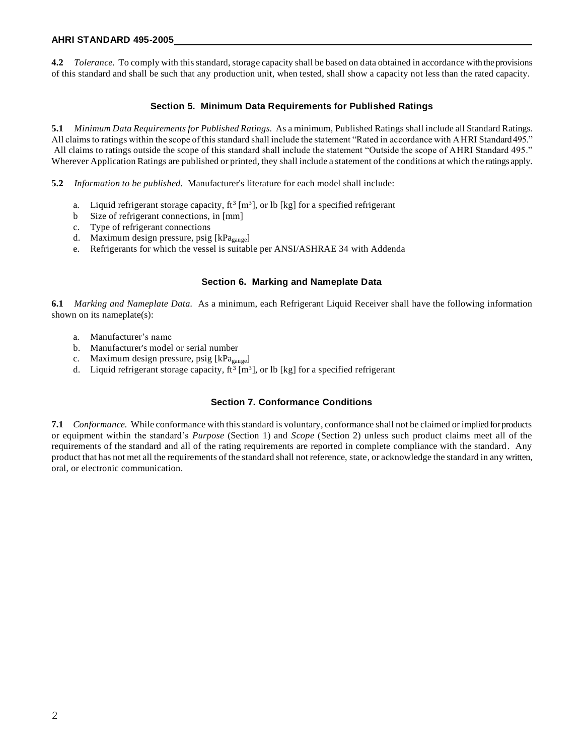#### **AHRI STANDARD 495-2005**

**4.2** *Tolerance.* To comply with this standard, storage capacity shall be based on data obtained in accordance with the provisions of this standard and shall be such that any production unit, when tested, shall show a capacity not less than the rated capacity.

#### **Section 5. Minimum Data Requirements for Published Ratings**

**5.1** *Minimum Data Requirements for Published Ratings.* As a minimum, Published Ratings shall include all Standard Ratings. All claims to ratings within the scope of this standard shall include the statement "Rated in accordance with AHRI Standard 495." All claims to ratings outside the scope of this standard shall include the statement "Outside the scope of AHRI Standard 495." Wherever Application Ratings are published or printed, they shall include a statement of the conditions at which the ratings apply.

**5.2** *Information to be published.* Manufacturer's literature for each model shall include:

- a. Liquid refrigerant storage capacity,  $ft^3$  [m<sup>3</sup>], or lb [kg] for a specified refrigerant
- b Size of refrigerant connections, in [mm]
- c. Type of refrigerant connections
- d. Maximum design pressure, psig [kPagauge]
- e. Refrigerants for which the vessel is suitable per ANSI/ASHRAE 34 with Addenda

#### **Section 6. Marking and Nameplate Data**

**6.1** *Marking and Nameplate Data.* As a minimum, each Refrigerant Liquid Receiver shall have the following information shown on its nameplate(s):

- a. Manufacturer's name
- b. Manufacturer's model or serial number
- c. Maximum design pressure, psig [kPa<sub>gauge</sub>]
- d. Liquid refrigerant storage capacity,  $ft^3$  [m<sup>3</sup>], or lb [kg] for a specified refrigerant

#### **Section 7. Conformance Conditions**

**7.1** *Conformance.* While conformance with this standard is voluntary, conformance shall not be claimed or implied for products or equipment within the standard's *Purpose* (Section 1) and *Scope* (Section 2) unless such product claims meet all of the requirements of the standard and all of the rating requirements are reported in complete compliance with the standard. Any product that has not met all the requirements of the standard shall not reference, state, or acknowledge the standard in any written, oral, or electronic communication.